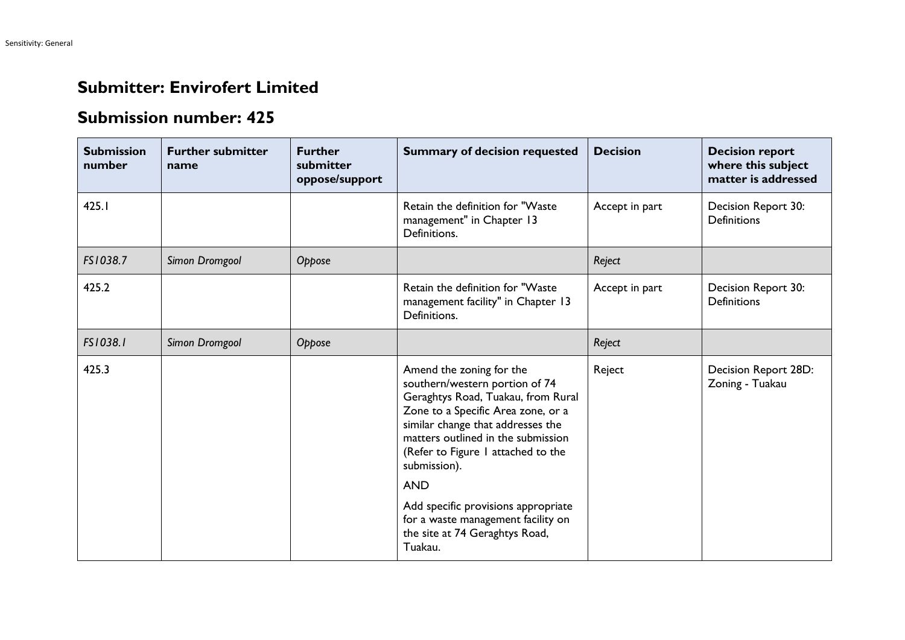## **Submitter: Envirofert Limited**

## **Submission number: 425**

| <b>Submission</b><br>number | <b>Further submitter</b><br>name | <b>Further</b><br>submitter<br>oppose/support | <b>Summary of decision requested</b>                                                                                                                                                                                                                                                                                                                                                                            | <b>Decision</b> | <b>Decision report</b><br>where this subject<br>matter is addressed |
|-----------------------------|----------------------------------|-----------------------------------------------|-----------------------------------------------------------------------------------------------------------------------------------------------------------------------------------------------------------------------------------------------------------------------------------------------------------------------------------------------------------------------------------------------------------------|-----------------|---------------------------------------------------------------------|
| 425.1                       |                                  |                                               | Retain the definition for "Waste<br>management" in Chapter 13<br>Definitions.                                                                                                                                                                                                                                                                                                                                   | Accept in part  | Decision Report 30:<br><b>Definitions</b>                           |
| FS1038.7                    | Simon Dromgool                   | Oppose                                        |                                                                                                                                                                                                                                                                                                                                                                                                                 | Reject          |                                                                     |
| 425.2                       |                                  |                                               | Retain the definition for "Waste<br>management facility" in Chapter 13<br>Definitions.                                                                                                                                                                                                                                                                                                                          | Accept in part  | Decision Report 30:<br><b>Definitions</b>                           |
| FS1038.1                    | Simon Dromgool                   | Oppose                                        |                                                                                                                                                                                                                                                                                                                                                                                                                 | Reject          |                                                                     |
| 425.3                       |                                  |                                               | Amend the zoning for the<br>southern/western portion of 74<br>Geraghtys Road, Tuakau, from Rural<br>Zone to a Specific Area zone, or a<br>similar change that addresses the<br>matters outlined in the submission<br>(Refer to Figure 1 attached to the<br>submission).<br><b>AND</b><br>Add specific provisions appropriate<br>for a waste management facility on<br>the site at 74 Geraghtys Road,<br>Tuakau. | Reject          | Decision Report 28D:<br>Zoning - Tuakau                             |